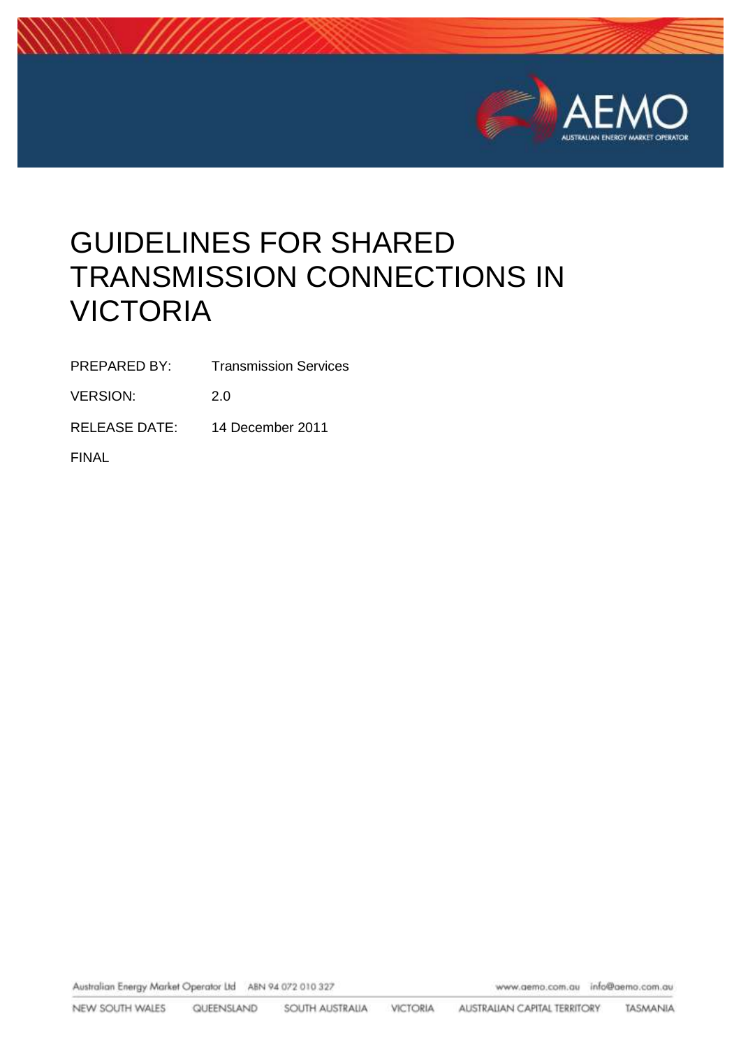

# GUIDELINES FOR SHARED TRANSMISSION CONNECTIONS IN VICTORIA

PREPARED BY: Transmission Services

VERSION: 2.0

RELEASE DATE: 14 December 2011

FINAL

Australian Energy Market Operator Ltd ABN 94 072 010 327

www.aemo.com.au info@aemo.com.au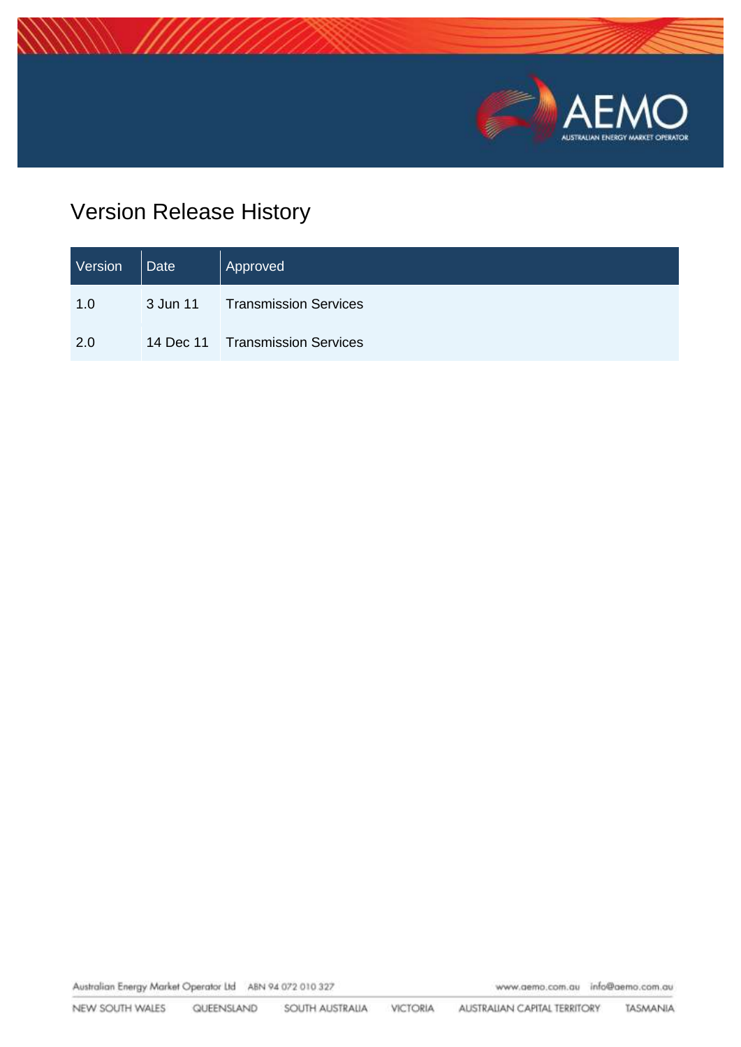

## Version Release History

| Version | $\vert$ Date | Approved                        |
|---------|--------------|---------------------------------|
| 1.0     |              | 3 Jun 11 Transmission Services  |
| 2.0     |              | 14 Dec 11 Transmission Services |

Australian Energy Market Operator Ltd ABN 94 072 010 327

www.aemo.com.au info@aemo.com.au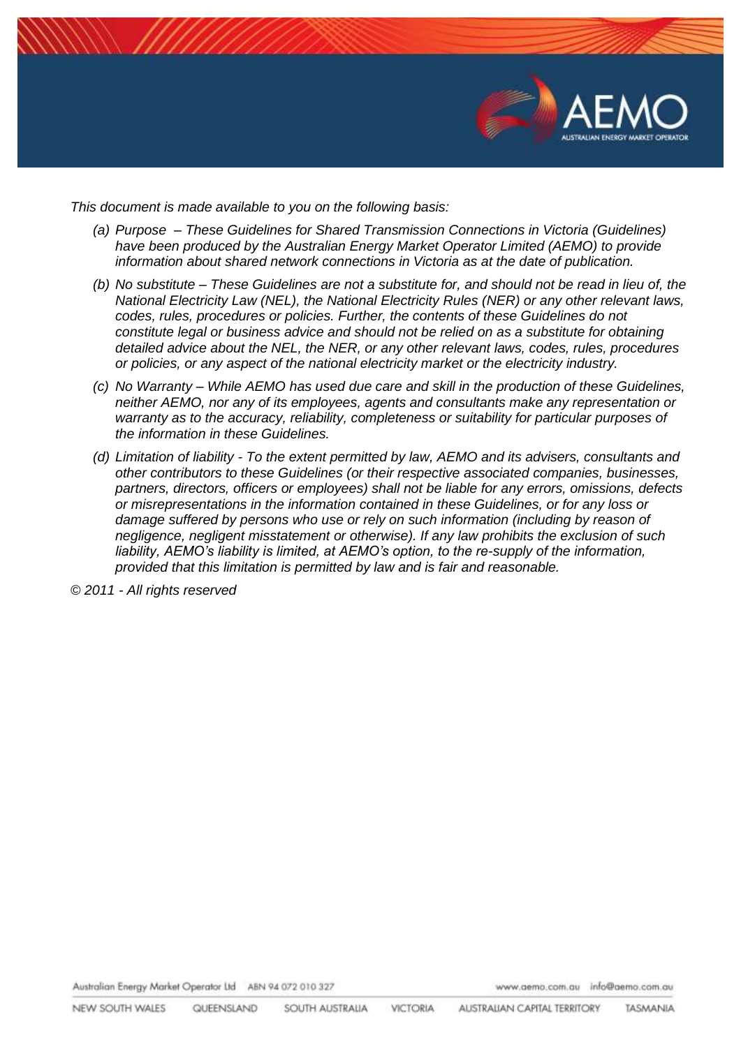

*This document is made available to you on the following basis:* 

- *(a) Purpose – These Guidelines for Shared Transmission Connections in Victoria (Guidelines) have been produced by the Australian Energy Market Operator Limited (AEMO) to provide information about shared network connections in Victoria as at the date of publication.*
- *(b) No substitute – These Guidelines are not a substitute for, and should not be read in lieu of, the National Electricity Law (NEL), the National Electricity Rules (NER) or any other relevant laws, codes, rules, procedures or policies. Further, the contents of these Guidelines do not constitute legal or business advice and should not be relied on as a substitute for obtaining detailed advice about the NEL, the NER, or any other relevant laws, codes, rules, procedures or policies, or any aspect of the national electricity market or the electricity industry.*
- *(c) No Warranty – While AEMO has used due care and skill in the production of these Guidelines, neither AEMO, nor any of its employees, agents and consultants make any representation or warranty as to the accuracy, reliability, completeness or suitability for particular purposes of the information in these Guidelines.*
- *(d) Limitation of liability - To the extent permitted by law, AEMO and its advisers, consultants and other contributors to these Guidelines (or their respective associated companies, businesses, partners, directors, officers or employees) shall not be liable for any errors, omissions, defects or misrepresentations in the information contained in these Guidelines, or for any loss or damage suffered by persons who use or rely on such information (including by reason of negligence, negligent misstatement or otherwise). If any law prohibits the exclusion of such liability, AEMO's liability is limited, at AEMO's option, to the re-supply of the information, provided that this limitation is permitted by law and is fair and reasonable.*

*© 2011 - All rights reserved*

Australian Energy Market Operator Ltd ABN 94 072 010 327

www.aemo.com.au info@aemo.com.au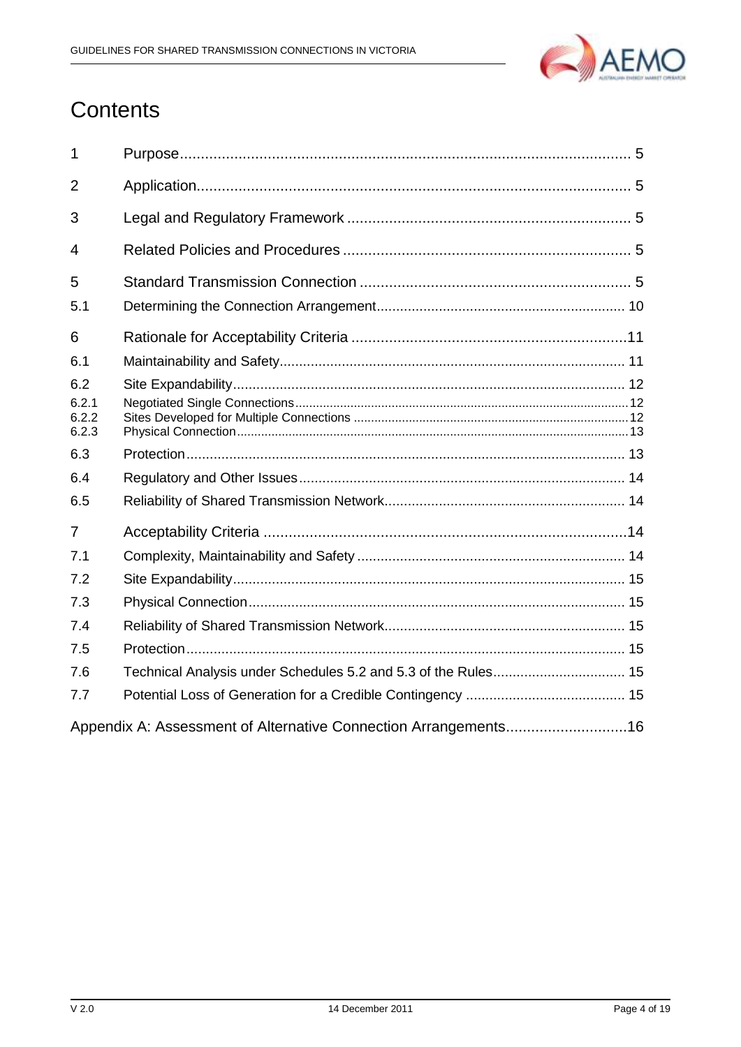

## Contents

| $\mathbf{1}$            |                                                                |
|-------------------------|----------------------------------------------------------------|
| $\overline{2}$          |                                                                |
| 3                       |                                                                |
| 4                       |                                                                |
| 5                       |                                                                |
| 5.1                     |                                                                |
| 6                       |                                                                |
| 6.1                     |                                                                |
| 6.2                     |                                                                |
| 6.2.1<br>6.2.2<br>6.2.3 |                                                                |
| 6.3                     |                                                                |
| 6.4                     |                                                                |
| 6.5                     |                                                                |
| $\overline{7}$          |                                                                |
| 7.1                     |                                                                |
| 7.2                     |                                                                |
| 7.3                     |                                                                |
| 7.4                     |                                                                |
| 7.5                     |                                                                |
| 7.6                     | Technical Analysis under Schedules 5.2 and 5.3 of the Rules 15 |
| 7.7                     |                                                                |
|                         |                                                                |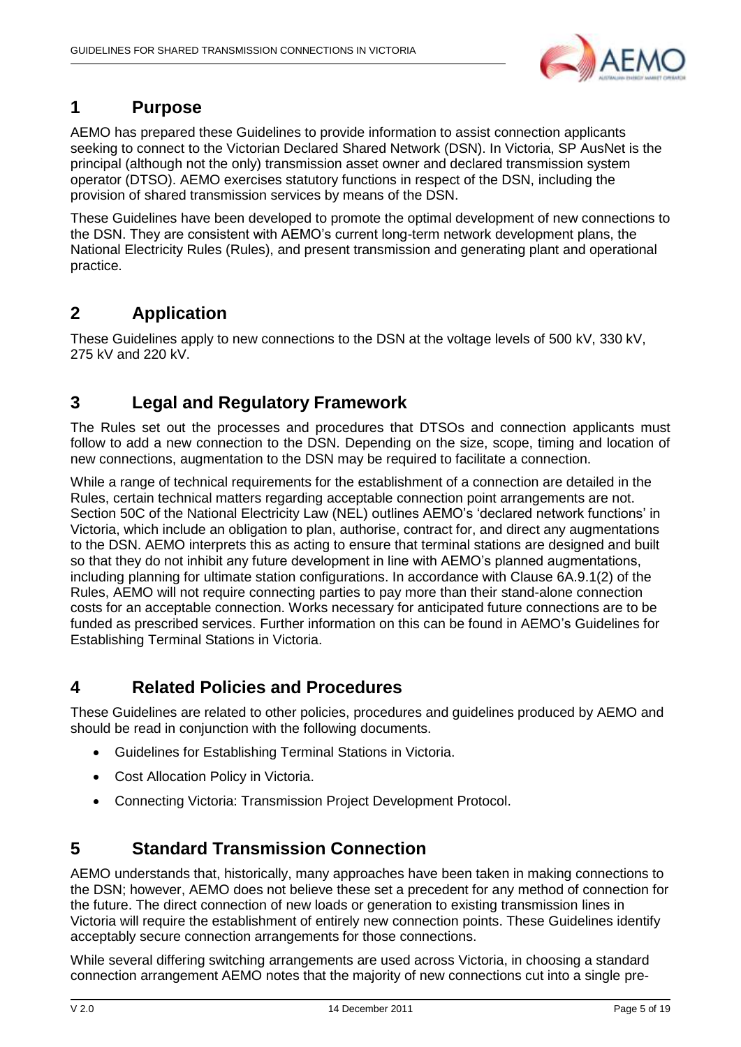

### <span id="page-4-0"></span>**1 Purpose**

AEMO has prepared these Guidelines to provide information to assist connection applicants seeking to connect to the Victorian Declared Shared Network (DSN). In Victoria, SP AusNet is the principal (although not the only) transmission asset owner and declared transmission system operator (DTSO). AEMO exercises statutory functions in respect of the DSN, including the provision of shared transmission services by means of the DSN.

These Guidelines have been developed to promote the optimal development of new connections to the DSN. They are consistent with AEMO"s current long-term network development plans, the National Electricity Rules (Rules), and present transmission and generating plant and operational practice.

### <span id="page-4-1"></span>**2 Application**

These Guidelines apply to new connections to the DSN at the voltage levels of 500 kV, 330 kV, 275 kV and 220 kV.

### <span id="page-4-2"></span>**3 Legal and Regulatory Framework**

The Rules set out the processes and procedures that DTSOs and connection applicants must follow to add a new connection to the DSN. Depending on the size, scope, timing and location of new connections, augmentation to the DSN may be required to facilitate a connection.

While a range of technical requirements for the establishment of a connection are detailed in the Rules, certain technical matters regarding acceptable connection point arrangements are not. Section 50C of the National Electricity Law (NEL) outlines AEMO"s "declared network functions" in Victoria, which include an obligation to plan, authorise, contract for, and direct any augmentations to the DSN. AEMO interprets this as acting to ensure that terminal stations are designed and built so that they do not inhibit any future development in line with AEMO"s planned augmentations, including planning for ultimate station configurations. In accordance with Clause 6A.9.1(2) of the Rules, AEMO will not require connecting parties to pay more than their stand-alone connection costs for an acceptable connection. Works necessary for anticipated future connections are to be funded as prescribed services. Further information on this can be found in AEMO"s Guidelines for Establishing Terminal Stations in Victoria.

### <span id="page-4-3"></span>**4 Related Policies and Procedures**

These Guidelines are related to other policies, procedures and guidelines produced by AEMO and should be read in conjunction with the following documents.

- Guidelines for Establishing Terminal Stations in Victoria.
- Cost Allocation Policy in Victoria.
- Connecting Victoria: Transmission Project Development Protocol.

### <span id="page-4-4"></span>**5 Standard Transmission Connection**

AEMO understands that, historically, many approaches have been taken in making connections to the DSN; however, AEMO does not believe these set a precedent for any method of connection for the future. The direct connection of new loads or generation to existing transmission lines in Victoria will require the establishment of entirely new connection points. These Guidelines identify acceptably secure connection arrangements for those connections.

While several differing switching arrangements are used across Victoria, in choosing a standard connection arrangement AEMO notes that the majority of new connections cut into a single pre-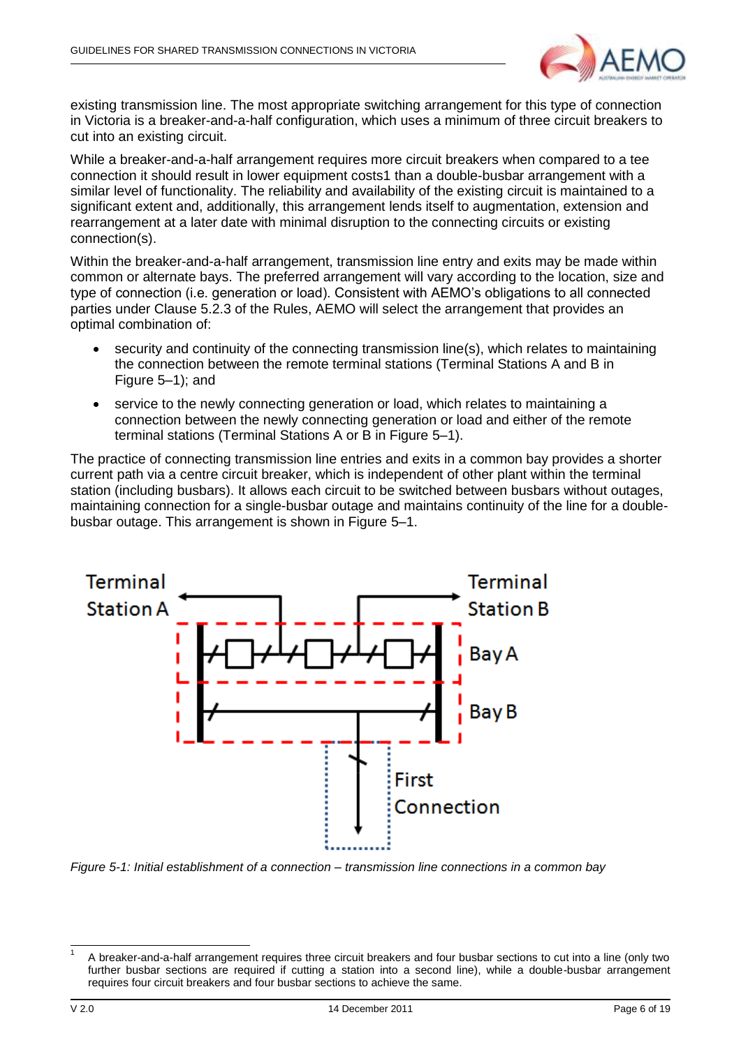

existing transmission line. The most appropriate switching arrangement for this type of connection in Victoria is a breaker-and-a-half configuration, which uses a minimum of three circuit breakers to cut into an existing circuit.

While a breaker-and-a-half arrangement requires more circuit breakers when compared to a tee connection it should result in lower equipment costs1 than a double-busbar arrangement with a similar level of functionality. The reliability and availability of the existing circuit is maintained to a significant extent and, additionally, this arrangement lends itself to augmentation, extension and rearrangement at a later date with minimal disruption to the connecting circuits or existing connection(s).

Within the breaker-and-a-half arrangement, transmission line entry and exits may be made within common or alternate bays. The preferred arrangement will vary according to the location, size and type of connection (i.e. generation or load). Consistent with AEMO"s obligations to all connected parties under Clause 5.2.3 of the Rules, AEMO will select the arrangement that provides an optimal combination of:

- security and continuity of the connecting transmission line(s), which relates to maintaining the connection between the remote terminal stations (Terminal Stations A and B in Figure 5–1); and
- service to the newly connecting generation or load, which relates to maintaining a connection between the newly connecting generation or load and either of the remote terminal stations (Terminal Stations A or B in Figure 5–1).

The practice of connecting transmission line entries and exits in a common bay provides a shorter current path via a centre circuit breaker, which is independent of other plant within the terminal station (including busbars). It allows each circuit to be switched between busbars without outages, maintaining connection for a single-busbar outage and maintains continuity of the line for a doublebusbar outage. This arrangement is shown in Figure 5–1.



<span id="page-5-0"></span>*Figure 5-1: Initial establishment of a connection – transmission line connections in a common bay*

<sup>1</sup> 1 A breaker-and-a-half arrangement requires three circuit breakers and four busbar sections to cut into a line (only two further busbar sections are required if cutting a station into a second line), while a double-busbar arrangement requires four circuit breakers and four busbar sections to achieve the same.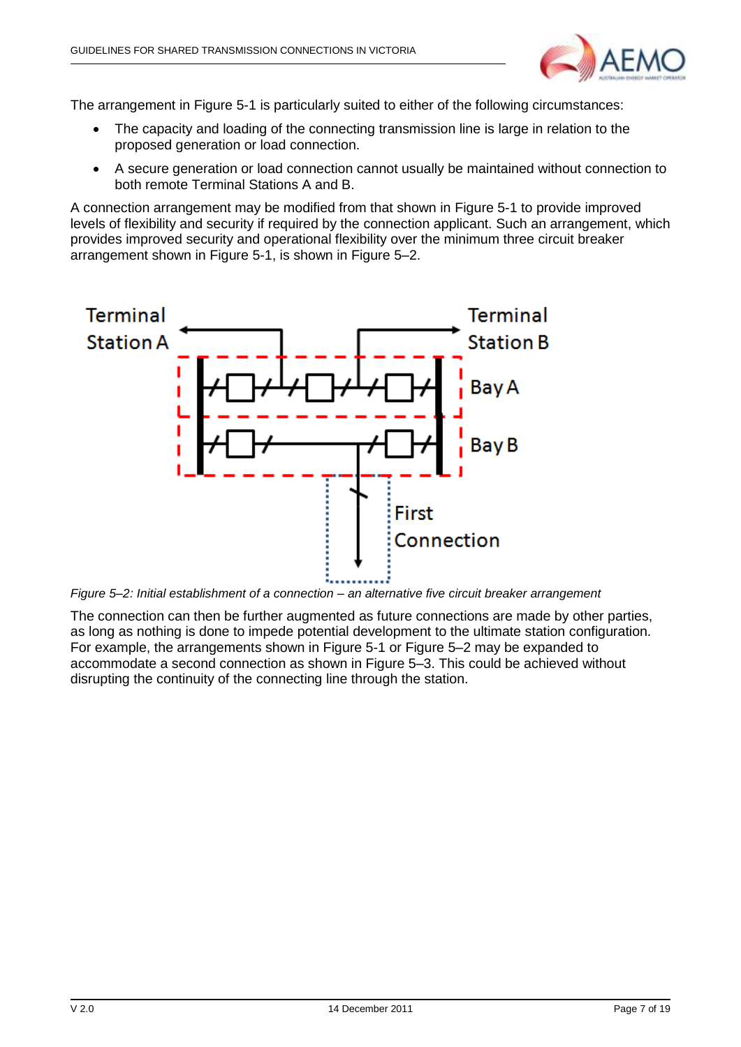

The arrangement in [Figure 5-1](#page-5-0) is particularly suited to either of the following circumstances:

- The capacity and loading of the connecting transmission line is large in relation to the proposed generation or load connection.
- A secure generation or load connection cannot usually be maintained without connection to both remote Terminal Stations A and B.

A connection arrangement may be modified from that shown in [Figure 5-1](#page-5-0) to provide improved levels of flexibility and security if required by the connection applicant. Such an arrangement, which provides improved security and operational flexibility over the minimum three circuit breaker arrangement shown in [Figure 5-1,](#page-5-0) is shown in [Figure 5–2.](#page-6-0)



<span id="page-6-0"></span>*Figure 5–2: Initial establishment of a connection – an alternative five circuit breaker arrangement*

The connection can then be further augmented as future connections are made by other parties, as long as nothing is done to impede potential development to the ultimate station configuration. For example, the arrangements shown in [Figure 5-1](#page-5-0) or [Figure 5–2](#page-6-0) may be expanded to accommodate a second connection as shown in [Figure 5–3.](#page-7-0) This could be achieved without disrupting the continuity of the connecting line through the station.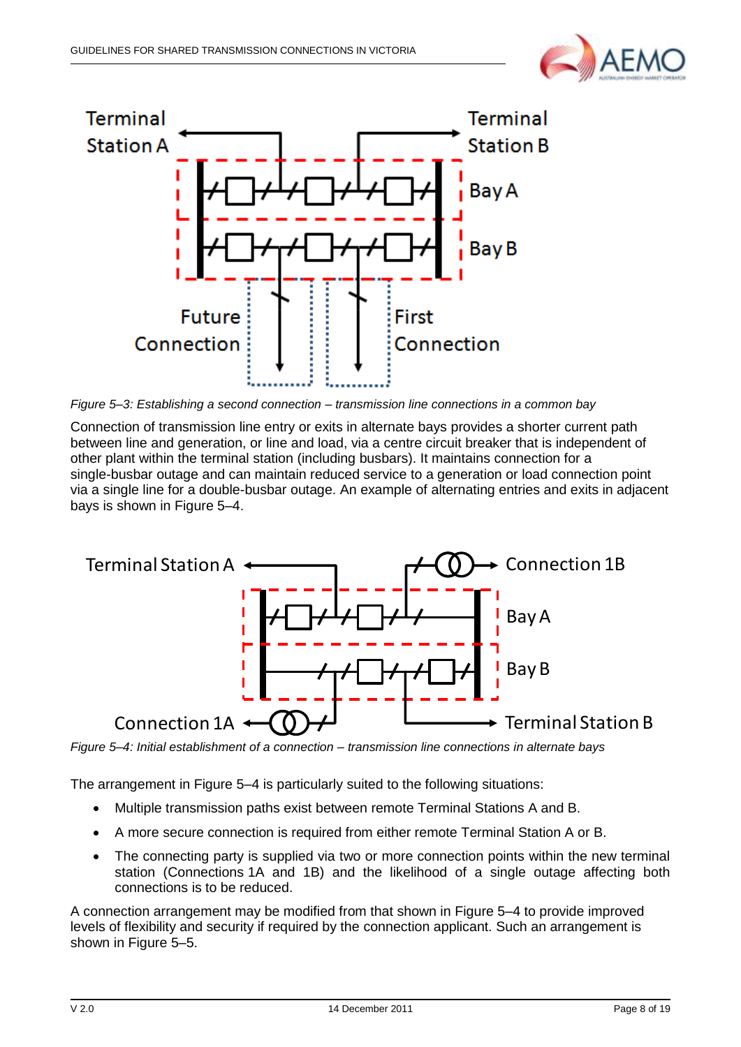



<span id="page-7-0"></span>*Figure 5–3: Establishing a second connection – transmission line connections in a common bay*

Connection of transmission line entry or exits in alternate bays provides a shorter current path between line and generation, or line and load, via a centre circuit breaker that is independent of other plant within the terminal station (including busbars). It maintains connection for a single-busbar outage and can maintain reduced service to a generation or load connection point via a single line for a double-busbar outage. An example of alternating entries and exits in adjacent bays is shown in [Figure 5–4.](#page-7-1)



<span id="page-7-1"></span>*Figure 5–4: Initial establishment of a connection – transmission line connections in alternate bays*

The arrangement in [Figure 5–4](#page-7-1) is particularly suited to the following situations:

- Multiple transmission paths exist between remote Terminal Stations A and B.
- A more secure connection is required from either remote Terminal Station A or B.
- The connecting party is supplied via two or more connection points within the new terminal station (Connections 1A and 1B) and the likelihood of a single outage affecting both connections is to be reduced.

A connection arrangement may be modified from that shown in [Figure 5–4](#page-7-1) to provide improved levels of flexibility and security if required by the connection applicant. Such an arrangement is shown in [Figure 5–5.](#page-8-0)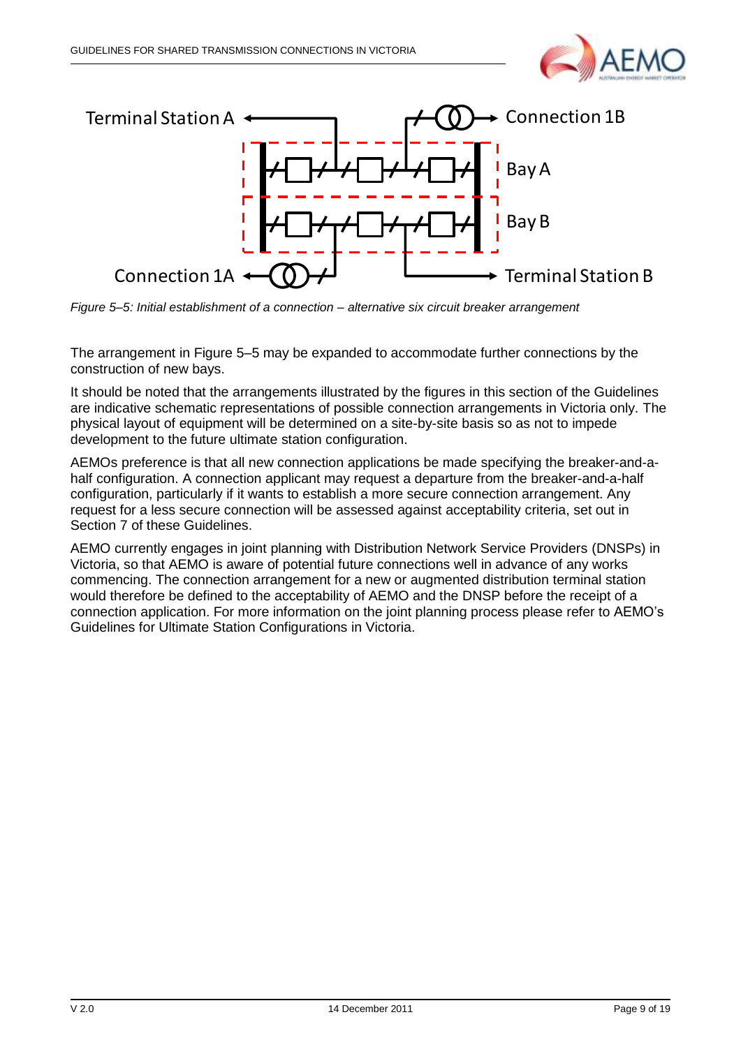



<span id="page-8-0"></span>*Figure 5–5: Initial establishment of a connection – alternative six circuit breaker arrangement*

The arrangement in [Figure 5–5](#page-8-0) may be expanded to accommodate further connections by the construction of new bays.

It should be noted that the arrangements illustrated by the figures in this section of the Guidelines are indicative schematic representations of possible connection arrangements in Victoria only. The physical layout of equipment will be determined on a site-by-site basis so as not to impede development to the future ultimate station configuration.

AEMOs preference is that all new connection applications be made specifying the breaker-and-ahalf configuration. A connection applicant may request a departure from the breaker-and-a-half configuration, particularly if it wants to establish a more secure connection arrangement. Any request for a less secure connection will be assessed against acceptability criteria, set out in Section 7 of these Guidelines.

AEMO currently engages in joint planning with Distribution Network Service Providers (DNSPs) in Victoria, so that AEMO is aware of potential future connections well in advance of any works commencing. The connection arrangement for a new or augmented distribution terminal station would therefore be defined to the acceptability of AEMO and the DNSP before the receipt of a connection application. For more information on the joint planning process please refer to AEMO"s Guidelines for Ultimate Station Configurations in Victoria.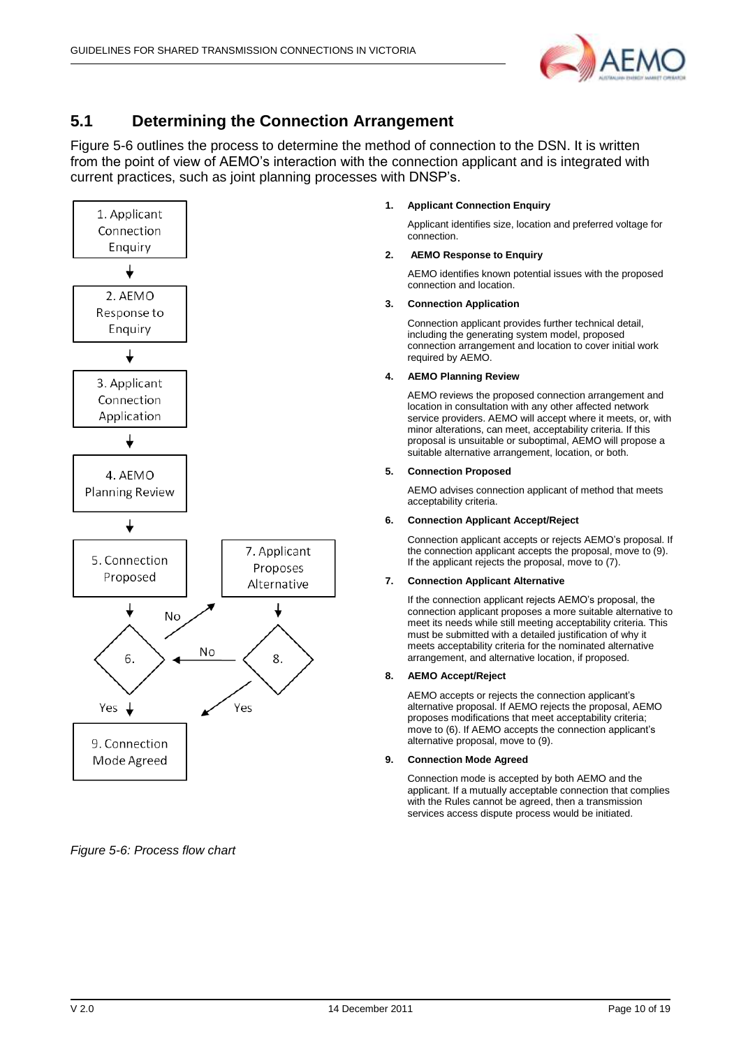

#### <span id="page-9-0"></span>**5.1 Determining the Connection Arrangement**

Figure 5-6 outlines the process to determine the method of connection to the DSN. It is written from the point of view of AEMO"s interaction with the connection applicant and is integrated with current practices, such as joint planning processes with DNSP"s.



*Figure 5-6: Process flow chart*

#### **1. Applicant Connection Enquiry**

Applicant identifies size, location and preferred voltage for connection.

#### **2. AEMO Response to Enquiry**

AEMO identifies known potential issues with the proposed connection and location.

#### **3. Connection Application**

Connection applicant provides further technical detail, including the generating system model, proposed connection arrangement and location to cover initial work required by AEMO.

#### **4. AEMO Planning Review**

AEMO reviews the proposed connection arrangement and location in consultation with any other affected network service providers. AEMO will accept where it meets, or, with minor alterations, can meet, acceptability criteria. If this proposal is unsuitable or suboptimal, AEMO will propose a suitable alternative arrangement, location, or both.

#### **5. Connection Proposed**

AEMO advises connection applicant of method that meets acceptability criteria.

#### **6. Connection Applicant Accept/Reject**

Connection applicant accepts or rejects AEMO"s proposal. If the connection applicant accepts the proposal, move to (9). If the applicant rejects the proposal, move to (7).

#### **7. Connection Applicant Alternative**

If the connection applicant rejects AEMO"s proposal, the connection applicant proposes a more suitable alternative to meet its needs while still meeting acceptability criteria. This must be submitted with a detailed justification of why it meets acceptability criteria for the nominated alternative arrangement, and alternative location, if proposed.

#### **8. AEMO Accept/Reject**

AEMO accepts or rejects the connection applicant"s alternative proposal. If AEMO rejects the proposal, AEMO proposes modifications that meet acceptability criteria; move to (6). If AEMO accepts the connection applicant"s alternative proposal, move to (9).

#### **9. Connection Mode Agreed**

Connection mode is accepted by both AEMO and the applicant. If a mutually acceptable connection that complies with the Rules cannot be agreed, then a transmission services access dispute process would be initiated.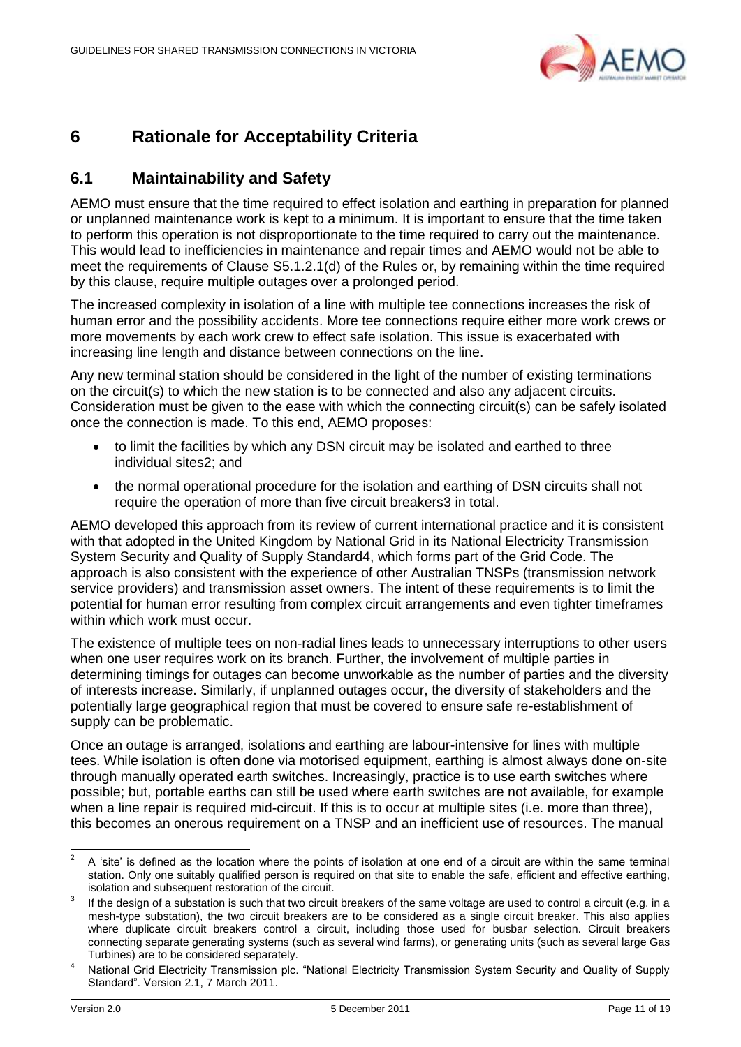

### <span id="page-10-0"></span>**6 Rationale for Acceptability Criteria**

#### <span id="page-10-1"></span>**6.1 Maintainability and Safety**

AEMO must ensure that the time required to effect isolation and earthing in preparation for planned or unplanned maintenance work is kept to a minimum. It is important to ensure that the time taken to perform this operation is not disproportionate to the time required to carry out the maintenance. This would lead to inefficiencies in maintenance and repair times and AEMO would not be able to meet the requirements of Clause S5.1.2.1(d) of the Rules or, by remaining within the time required by this clause, require multiple outages over a prolonged period.

The increased complexity in isolation of a line with multiple tee connections increases the risk of human error and the possibility accidents. More tee connections require either more work crews or more movements by each work crew to effect safe isolation. This issue is exacerbated with increasing line length and distance between connections on the line.

Any new terminal station should be considered in the light of the number of existing terminations on the circuit(s) to which the new station is to be connected and also any adjacent circuits. Consideration must be given to the ease with which the connecting circuit(s) can be safely isolated once the connection is made. To this end, AEMO proposes:

- to limit the facilities by which any DSN circuit may be isolated and earthed to three individual sites2; and
- the normal operational procedure for the isolation and earthing of DSN circuits shall not require the operation of more than five circuit breakers3 in total.

AEMO developed this approach from its review of current international practice and it is consistent with that adopted in the United Kingdom by National Grid in its National Electricity Transmission System Security and Quality of Supply Standard4, which forms part of the Grid Code. The approach is also consistent with the experience of other Australian TNSPs (transmission network service providers) and transmission asset owners. The intent of these requirements is to limit the potential for human error resulting from complex circuit arrangements and even tighter timeframes within which work must occur.

The existence of multiple tees on non-radial lines leads to unnecessary interruptions to other users when one user requires work on its branch. Further, the involvement of multiple parties in determining timings for outages can become unworkable as the number of parties and the diversity of interests increase. Similarly, if unplanned outages occur, the diversity of stakeholders and the potentially large geographical region that must be covered to ensure safe re-establishment of supply can be problematic.

Once an outage is arranged, isolations and earthing are labour-intensive for lines with multiple tees. While isolation is often done via motorised equipment, earthing is almost always done on-site through manually operated earth switches. Increasingly, practice is to use earth switches where possible; but, portable earths can still be used where earth switches are not available, for example when a line repair is required mid-circuit. If this is to occur at multiple sites (i.e. more than three), this becomes an onerous requirement on a TNSP and an inefficient use of resources. The manual

 $\frac{1}{2}$ A "site" is defined as the location where the points of isolation at one end of a circuit are within the same terminal station. Only one suitably qualified person is required on that site to enable the safe, efficient and effective earthing, isolation and subsequent restoration of the circuit.

<sup>3</sup> If the design of a substation is such that two circuit breakers of the same voltage are used to control a circuit (e.g. in a mesh-type substation), the two circuit breakers are to be considered as a single circuit breaker. This also applies where duplicate circuit breakers control a circuit, including those used for busbar selection. Circuit breakers connecting separate generating systems (such as several wind farms), or generating units (such as several large Gas Turbines) are to be considered separately.

<sup>4</sup> National Grid Electricity Transmission plc. "National Electricity Transmission System Security and Quality of Supply Standard". Version 2.1, 7 March 2011.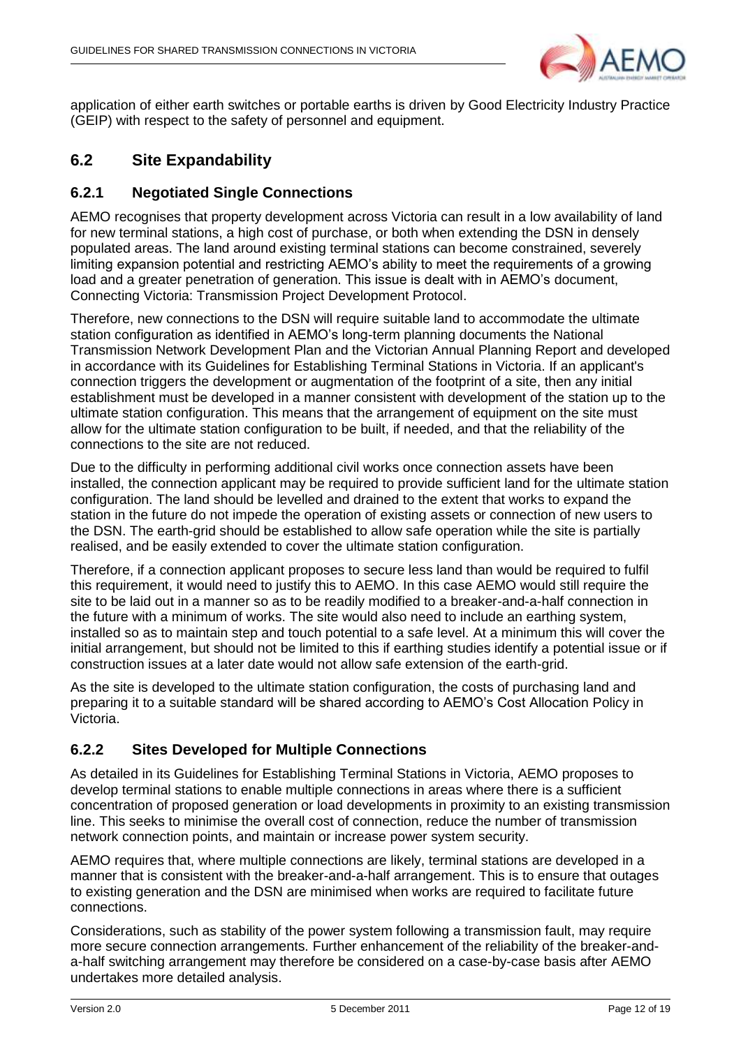

application of either earth switches or portable earths is driven by Good Electricity Industry Practice (GEIP) with respect to the safety of personnel and equipment.

#### <span id="page-11-0"></span>**6.2 Site Expandability**

#### <span id="page-11-1"></span>**6.2.1 Negotiated Single Connections**

AEMO recognises that property development across Victoria can result in a low availability of land for new terminal stations, a high cost of purchase, or both when extending the DSN in densely populated areas. The land around existing terminal stations can become constrained, severely limiting expansion potential and restricting AEMO"s ability to meet the requirements of a growing load and a greater penetration of generation. This issue is dealt with in AEMO"s document, Connecting Victoria: Transmission Project Development Protocol.

Therefore, new connections to the DSN will require suitable land to accommodate the ultimate station configuration as identified in AEMO"s long-term planning documents the National Transmission Network Development Plan and the Victorian Annual Planning Report and developed in accordance with its Guidelines for Establishing Terminal Stations in Victoria. If an applicant's connection triggers the development or augmentation of the footprint of a site, then any initial establishment must be developed in a manner consistent with development of the station up to the ultimate station configuration. This means that the arrangement of equipment on the site must allow for the ultimate station configuration to be built, if needed, and that the reliability of the connections to the site are not reduced.

Due to the difficulty in performing additional civil works once connection assets have been installed, the connection applicant may be required to provide sufficient land for the ultimate station configuration. The land should be levelled and drained to the extent that works to expand the station in the future do not impede the operation of existing assets or connection of new users to the DSN. The earth-grid should be established to allow safe operation while the site is partially realised, and be easily extended to cover the ultimate station configuration.

Therefore, if a connection applicant proposes to secure less land than would be required to fulfil this requirement, it would need to justify this to AEMO. In this case AEMO would still require the site to be laid out in a manner so as to be readily modified to a breaker-and-a-half connection in the future with a minimum of works. The site would also need to include an earthing system, installed so as to maintain step and touch potential to a safe level. At a minimum this will cover the initial arrangement, but should not be limited to this if earthing studies identify a potential issue or if construction issues at a later date would not allow safe extension of the earth-grid.

As the site is developed to the ultimate station configuration, the costs of purchasing land and preparing it to a suitable standard will be shared according to AEMO"s Cost Allocation Policy in Victoria.

#### <span id="page-11-2"></span>**6.2.2 Sites Developed for Multiple Connections**

As detailed in its Guidelines for Establishing Terminal Stations in Victoria, AEMO proposes to develop terminal stations to enable multiple connections in areas where there is a sufficient concentration of proposed generation or load developments in proximity to an existing transmission line. This seeks to minimise the overall cost of connection, reduce the number of transmission network connection points, and maintain or increase power system security.

AEMO requires that, where multiple connections are likely, terminal stations are developed in a manner that is consistent with the breaker-and-a-half arrangement. This is to ensure that outages to existing generation and the DSN are minimised when works are required to facilitate future connections.

Considerations, such as stability of the power system following a transmission fault, may require more secure connection arrangements. Further enhancement of the reliability of the breaker-anda-half switching arrangement may therefore be considered on a case-by-case basis after AEMO undertakes more detailed analysis.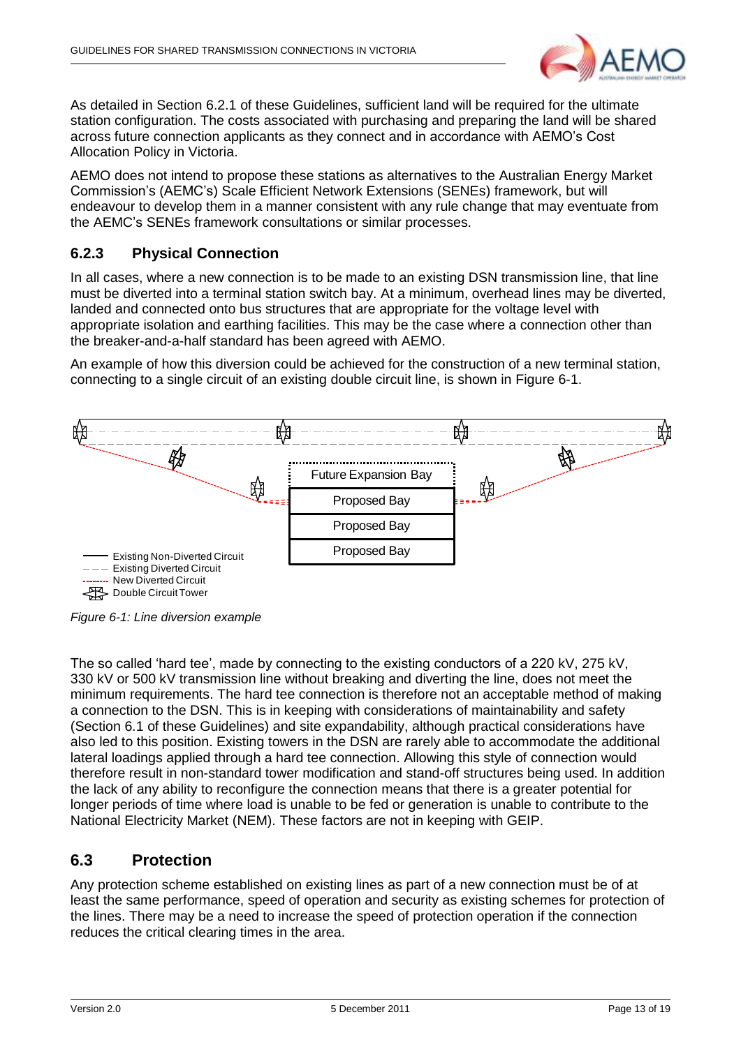

As detailed in Section [6.2.1](#page-11-1) of these Guidelines, sufficient land will be required for the ultimate station configuration. The costs associated with purchasing and preparing the land will be shared across future connection applicants as they connect and in accordance with AEMO"s Cost Allocation Policy in Victoria.

AEMO does not intend to propose these stations as alternatives to the Australian Energy Market Commission"s (AEMC"s) Scale Efficient Network Extensions (SENEs) framework, but will endeavour to develop them in a manner consistent with any rule change that may eventuate from the AEMC"s SENEs framework consultations or similar processes.

#### <span id="page-12-0"></span>**6.2.3 Physical Connection**

In all cases, where a new connection is to be made to an existing DSN transmission line, that line must be diverted into a terminal station switch bay. At a minimum, overhead lines may be diverted, landed and connected onto bus structures that are appropriate for the voltage level with appropriate isolation and earthing facilities. This may be the case where a connection other than the breaker-and-a-half standard has been agreed with AEMO.

An example of how this diversion could be achieved for the construction of a new terminal station, connecting to a single circuit of an existing double circuit line, is shown in [Figure 6-1.](#page-12-2)



<span id="page-12-2"></span>*Figure 6-1: Line diversion example*

The so called 'hard tee', made by connecting to the existing conductors of a 220 kV, 275 kV, 330 kV or 500 kV transmission line without breaking and diverting the line, does not meet the minimum requirements. The hard tee connection is therefore not an acceptable method of making a connection to the DSN. This is in keeping with considerations of maintainability and safety (Section [6.1](#page-10-1) of these Guidelines) and site expandability, although practical considerations have also led to this position. Existing towers in the DSN are rarely able to accommodate the additional lateral loadings applied through a hard tee connection. Allowing this style of connection would therefore result in non-standard tower modification and stand-off structures being used. In addition the lack of any ability to reconfigure the connection means that there is a greater potential for longer periods of time where load is unable to be fed or generation is unable to contribute to the National Electricity Market (NEM). These factors are not in keeping with GEIP.

#### <span id="page-12-1"></span>**6.3 Protection**

Any protection scheme established on existing lines as part of a new connection must be of at least the same performance, speed of operation and security as existing schemes for protection of the lines. There may be a need to increase the speed of protection operation if the connection reduces the critical clearing times in the area.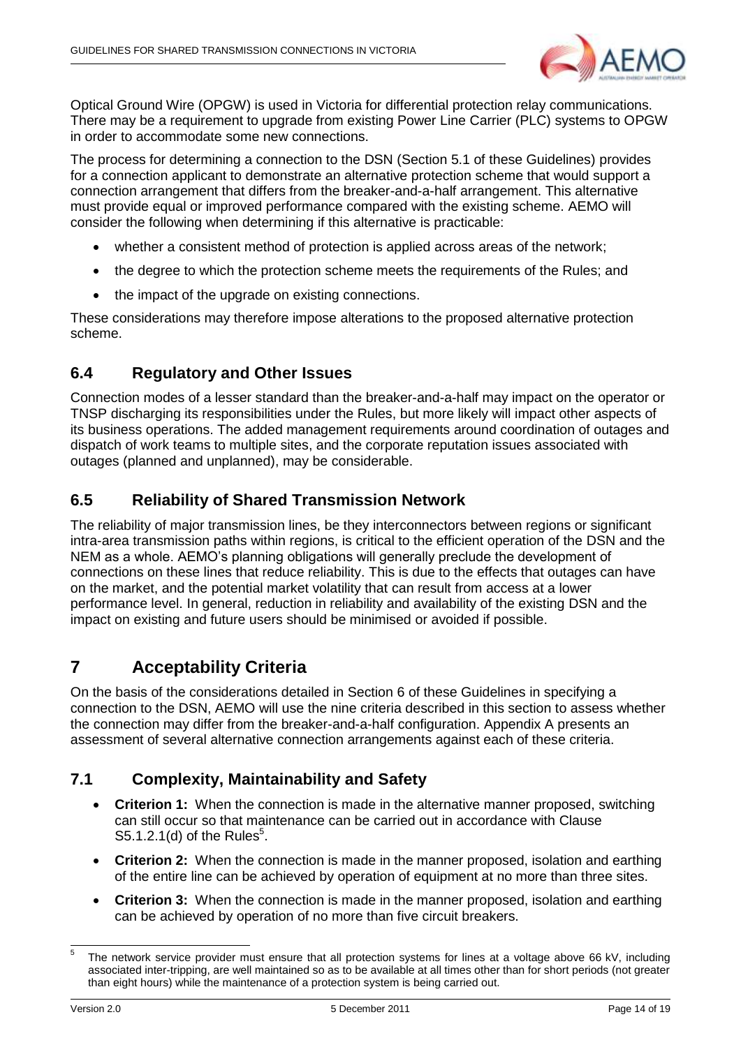

Optical Ground Wire (OPGW) is used in Victoria for differential protection relay communications. There may be a requirement to upgrade from existing Power Line Carrier (PLC) systems to OPGW in order to accommodate some new connections.

The process for determining a connection to the DSN (Section [5.1](#page-9-0) of these Guidelines) provides for a connection applicant to demonstrate an alternative protection scheme that would support a connection arrangement that differs from the breaker-and-a-half arrangement. This alternative must provide equal or improved performance compared with the existing scheme. AEMO will consider the following when determining if this alternative is practicable:

- whether a consistent method of protection is applied across areas of the network;
- the degree to which the protection scheme meets the requirements of the Rules; and
- the impact of the upgrade on existing connections.

These considerations may therefore impose alterations to the proposed alternative protection scheme.

#### <span id="page-13-0"></span>**6.4 Regulatory and Other Issues**

Connection modes of a lesser standard than the breaker-and-a-half may impact on the operator or TNSP discharging its responsibilities under the Rules, but more likely will impact other aspects of its business operations. The added management requirements around coordination of outages and dispatch of work teams to multiple sites, and the corporate reputation issues associated with outages (planned and unplanned), may be considerable.

#### <span id="page-13-1"></span>**6.5 Reliability of Shared Transmission Network**

The reliability of major transmission lines, be they interconnectors between regions or significant intra-area transmission paths within regions, is critical to the efficient operation of the DSN and the NEM as a whole. AEMO"s planning obligations will generally preclude the development of connections on these lines that reduce reliability. This is due to the effects that outages can have on the market, and the potential market volatility that can result from access at a lower performance level. In general, reduction in reliability and availability of the existing DSN and the impact on existing and future users should be minimised or avoided if possible.

### <span id="page-13-2"></span>**7 Acceptability Criteria**

On the basis of the considerations detailed in Section [6](#page-10-0) of these Guidelines in specifying a connection to the DSN, AEMO will use the nine criteria described in this section to assess whether the connection may differ from the breaker-and-a-half configuration. Appendix A presents an assessment of several alternative connection arrangements against each of these criteria.

#### <span id="page-13-3"></span>**7.1 Complexity, Maintainability and Safety**

- **Criterion 1:** When the connection is made in the alternative manner proposed, switching can still occur so that maintenance can be carried out in accordance with Clause S5.1.2.1(d) of the Rules $5$ .
- **Criterion 2:** When the connection is made in the manner proposed, isolation and earthing of the entire line can be achieved by operation of equipment at no more than three sites.
- **Criterion 3:** When the connection is made in the manner proposed, isolation and earthing can be achieved by operation of no more than five circuit breakers.

1

<sup>5</sup> The network service provider must ensure that all protection systems for lines at a voltage above 66 kV, including associated inter-tripping, are well maintained so as to be available at all times other than for short periods (not greater than eight hours) while the maintenance of a protection system is being carried out.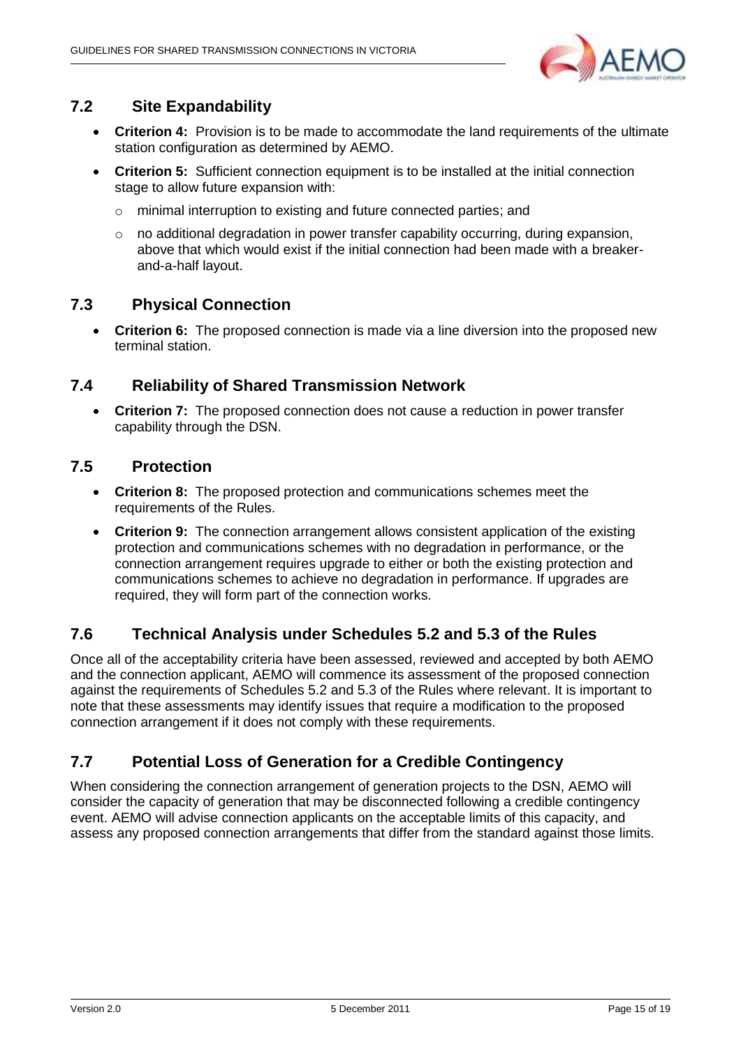

#### <span id="page-14-0"></span>**7.2 Site Expandability**

- Criterion 4: Provision is to be made to accommodate the land requirements of the ultimate station configuration as determined by AEMO.
- **Criterion 5:** Sufficient connection equipment is to be installed at the initial connection stage to allow future expansion with:
	- o minimal interruption to existing and future connected parties; and
	- $\circ$  no additional degradation in power transfer capability occurring, during expansion, above that which would exist if the initial connection had been made with a breakerand-a-half layout.

#### <span id="page-14-1"></span>**7.3 Physical Connection**

 **Criterion 6:** The proposed connection is made via a line diversion into the proposed new terminal station.

#### <span id="page-14-2"></span>**7.4 Reliability of Shared Transmission Network**

 **Criterion 7:** The proposed connection does not cause a reduction in power transfer capability through the DSN.

#### <span id="page-14-3"></span>**7.5 Protection**

- **Criterion 8:** The proposed protection and communications schemes meet the requirements of the Rules.
- **Criterion 9:** The connection arrangement allows consistent application of the existing protection and communications schemes with no degradation in performance, or the connection arrangement requires upgrade to either or both the existing protection and communications schemes to achieve no degradation in performance. If upgrades are required, they will form part of the connection works.

#### <span id="page-14-4"></span>**7.6 Technical Analysis under Schedules 5.2 and 5.3 of the Rules**

Once all of the acceptability criteria have been assessed, reviewed and accepted by both AEMO and the connection applicant, AEMO will commence its assessment of the proposed connection against the requirements of Schedules 5.2 and 5.3 of the Rules where relevant. It is important to note that these assessments may identify issues that require a modification to the proposed connection arrangement if it does not comply with these requirements.

### <span id="page-14-5"></span>**7.7 Potential Loss of Generation for a Credible Contingency**

When considering the connection arrangement of generation projects to the DSN, AEMO will consider the capacity of generation that may be disconnected following a credible contingency event. AEMO will advise connection applicants on the acceptable limits of this capacity, and assess any proposed connection arrangements that differ from the standard against those limits.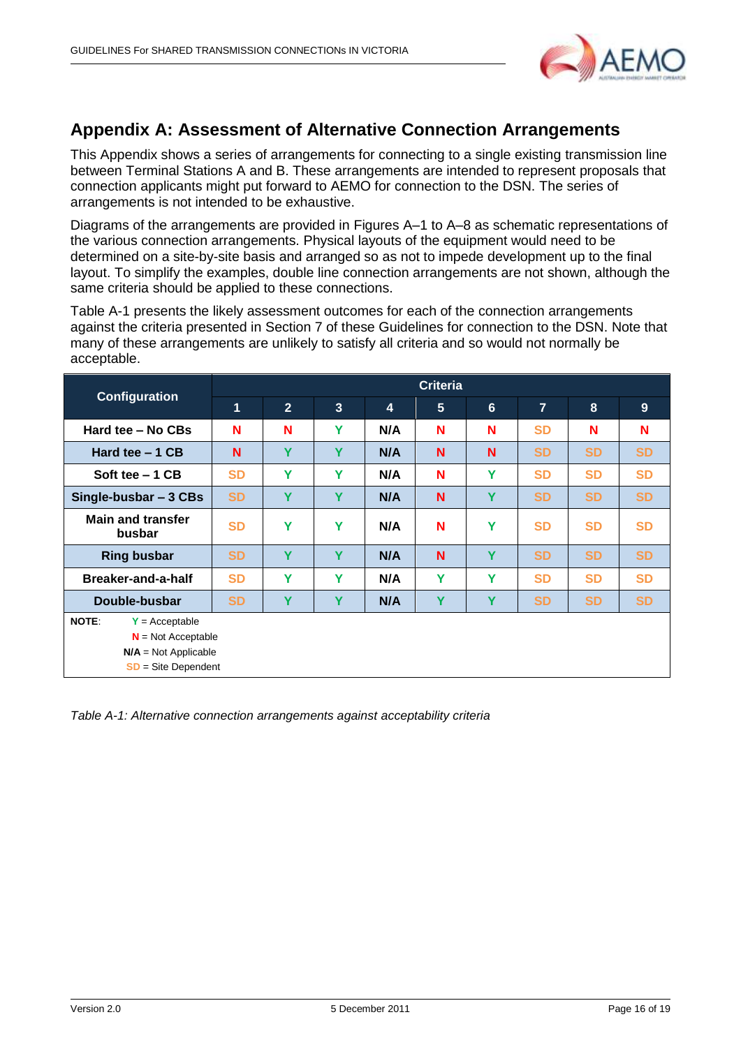

### <span id="page-15-0"></span>**Appendix A: Assessment of Alternative Connection Arrangements**

This Appendix shows a series of arrangements for connecting to a single existing transmission line between Terminal Stations A and B. These arrangements are intended to represent proposals that connection applicants might put forward to AEMO for connection to the DSN. The series of arrangements is not intended to be exhaustive.

Diagrams of the arrangements are provided in Figures A–1 to A–8 as schematic representations of the various connection arrangements. Physical layouts of the equipment would need to be determined on a site-by-site basis and arranged so as not to impede development up to the final layout. To simplify the examples, double line connection arrangements are not shown, although the same criteria should be applied to these connections.

[Table A-1](#page-15-1) presents the likely assessment outcomes for each of the connection arrangements against the criteria presented in Section 7 of these Guidelines for connection to the DSN. Note that many of these arrangements are unlikely to satisfy all criteria and so would not normally be acceptable.

|                                                                                                       | <b>Criteria</b> |                |                |     |   |   |                |           |           |  |  |
|-------------------------------------------------------------------------------------------------------|-----------------|----------------|----------------|-----|---|---|----------------|-----------|-----------|--|--|
| <b>Configuration</b>                                                                                  | $\mathbf 1$     | $\overline{2}$ | 3 <sup>2</sup> | 4   | 5 | 6 | $\overline{7}$ | 8         | 9         |  |  |
| Hard tee - No CBs                                                                                     | N               | N              | Y              | N/A | N | N | <b>SD</b>      | N         | N         |  |  |
| Hard tee $-1$ CB                                                                                      | N               | Y              | Y              | N/A | N | N | <b>SD</b>      | <b>SD</b> | <b>SD</b> |  |  |
| Soft tee $-1$ CB                                                                                      | <b>SD</b>       | Y              | Y              | N/A | N | Y | <b>SD</b>      | <b>SD</b> | <b>SD</b> |  |  |
| Single-busbar - 3 CBs                                                                                 | <b>SD</b>       | Y              | Y              | N/A | N | Y | <b>SD</b>      | <b>SD</b> | <b>SD</b> |  |  |
| <b>Main and transfer</b><br>busbar                                                                    | <b>SD</b>       | Y              | Y              | N/A | N | Υ | <b>SD</b>      | <b>SD</b> | <b>SD</b> |  |  |
| <b>Ring busbar</b>                                                                                    | <b>SD</b>       | Y              | Y              | N/A | N | Y | <b>SD</b>      | <b>SD</b> | <b>SD</b> |  |  |
| Breaker-and-a-half                                                                                    | <b>SD</b>       | Y              | Y              | N/A | Y | Y | <b>SD</b>      | <b>SD</b> | <b>SD</b> |  |  |
| Double-busbar                                                                                         | <b>SD</b>       | Y              | Y              | N/A | Y | Υ | <b>SD</b>      | <b>SD</b> | <b>SD</b> |  |  |
| NOTE:<br>$Y =$ Acceptable<br>$N = Not Acceptable$<br>$N/A = Not Applicable$<br>$SD = Site Department$ |                 |                |                |     |   |   |                |           |           |  |  |

<span id="page-15-1"></span>*Table A-1: Alternative connection arrangements against acceptability criteria*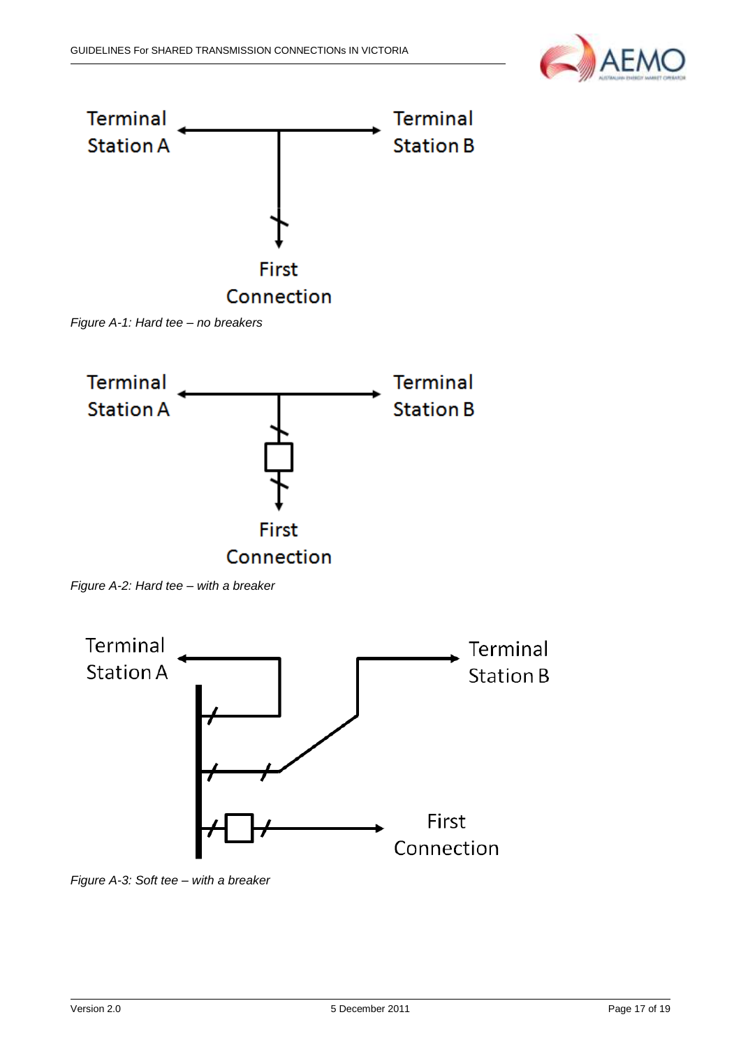



*Figure A-1: Hard tee – no breakers*



*Figure A-2: Hard tee – with a breaker*



*Figure A-3: Soft tee – with a breaker*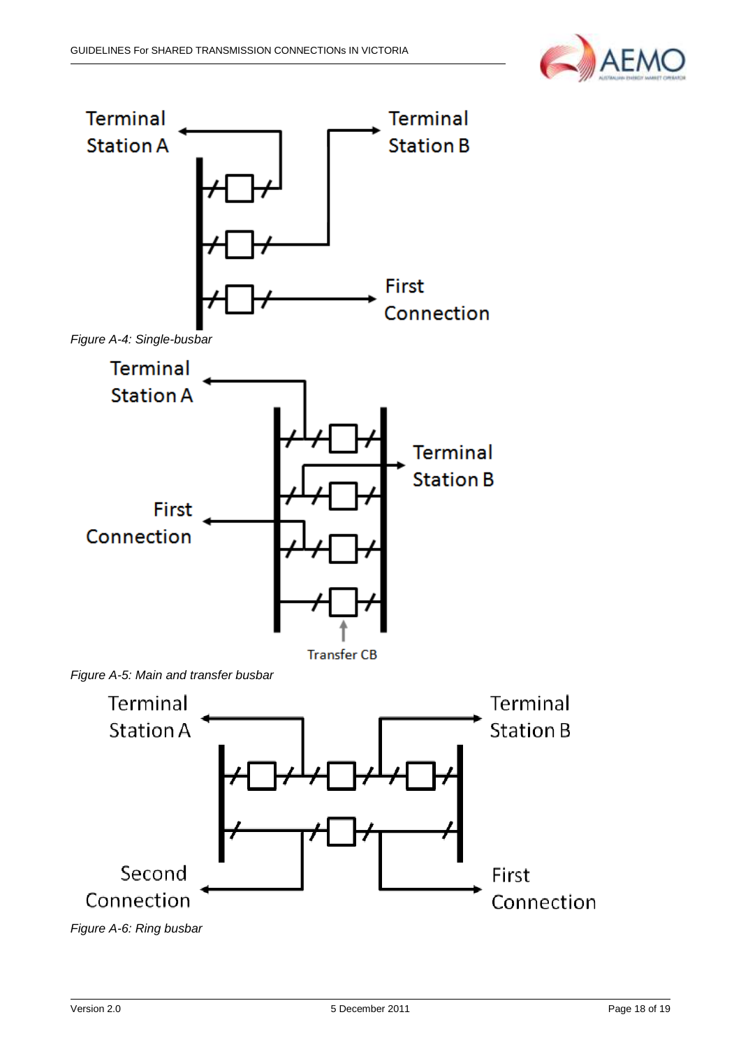